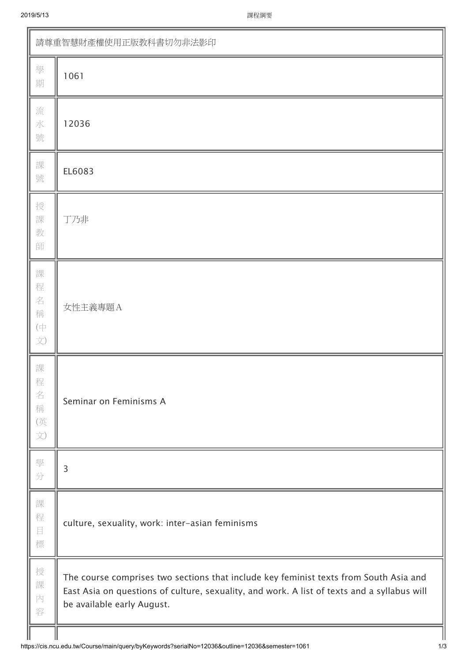| 請尊重智慧財產權使用正版教科書切勿非法影印                   |                                                                                                                                                                                                                    |  |  |  |  |  |  |
|-----------------------------------------|--------------------------------------------------------------------------------------------------------------------------------------------------------------------------------------------------------------------|--|--|--|--|--|--|
| 學<br>期                                  | 1061                                                                                                                                                                                                               |  |  |  |  |  |  |
| 流<br>水<br>號                             | 12036                                                                                                                                                                                                              |  |  |  |  |  |  |
| 課<br>號                                  | EL6083                                                                                                                                                                                                             |  |  |  |  |  |  |
| 授<br>課<br>教<br>師                        | 丁乃非                                                                                                                                                                                                                |  |  |  |  |  |  |
| 課<br>程<br>名<br>稱<br>$(\dagger$<br>文)    | 女性主義專題A                                                                                                                                                                                                            |  |  |  |  |  |  |
| 課<br>程<br>名<br>稱<br>(英<br>$\vec{\chi})$ | Seminar on Feminisms A                                                                                                                                                                                             |  |  |  |  |  |  |
| 學<br>分                                  | $\overline{3}$                                                                                                                                                                                                     |  |  |  |  |  |  |
| 課<br>程<br>$\boxminus$<br>標              | culture, sexuality, work: inter-asian feminisms                                                                                                                                                                    |  |  |  |  |  |  |
| 授<br>課<br>内<br>容                        | The course comprises two sections that include key feminist texts from South Asia and<br>East Asia on questions of culture, sexuality, and work. A list of texts and a syllabus will<br>be available early August. |  |  |  |  |  |  |
|                                         |                                                                                                                                                                                                                    |  |  |  |  |  |  |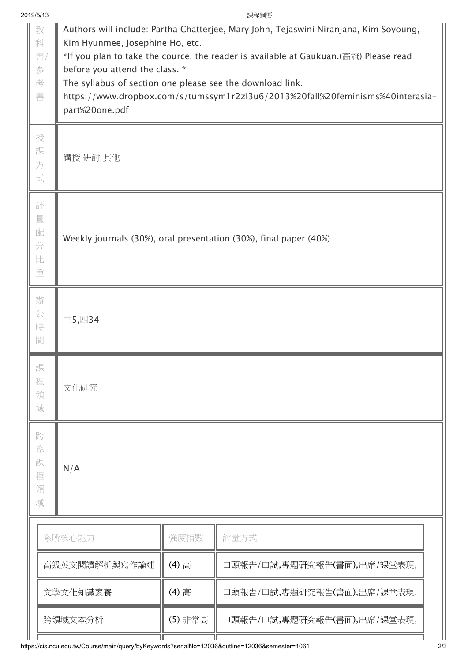|  | 2019/5/13                   |                                                                                                                                                                                                                                                                                                                                                                                                                     |         | 課程綱要                        |  |  |  |
|--|-----------------------------|---------------------------------------------------------------------------------------------------------------------------------------------------------------------------------------------------------------------------------------------------------------------------------------------------------------------------------------------------------------------------------------------------------------------|---------|-----------------------------|--|--|--|
|  | 教<br>科<br>書/<br>參<br>考<br>書 | Authors will include: Partha Chatterjee, Mary John, Tejaswini Niranjana, Kim Soyoung,<br>Kim Hyunmee, Josephine Ho, etc.<br>*If you plan to take the cource, the reader is available at Gaukuan.(高冠) Please read<br>before you attend the class. *<br>The syllabus of section one please see the download link.<br>https://www.dropbox.com/s/tumssym1r2zl3u6/2013%20fall%20feminisms%40interasia-<br>part%20one.pdf |         |                             |  |  |  |
|  | 授<br>課<br>方<br>式            | 講授 研討 其他                                                                                                                                                                                                                                                                                                                                                                                                            |         |                             |  |  |  |
|  | 評<br>量<br>配<br>分<br>比<br>重  | Weekly journals (30%), oral presentation (30%), final paper (40%)                                                                                                                                                                                                                                                                                                                                                   |         |                             |  |  |  |
|  | 辦<br>公<br>時<br>間            | 三5,四34                                                                                                                                                                                                                                                                                                                                                                                                              |         |                             |  |  |  |
|  | 課<br>程<br>領<br>域            | 文化研究                                                                                                                                                                                                                                                                                                                                                                                                                |         |                             |  |  |  |
|  | 跨<br>系<br>課<br>程<br>領<br>域  | N/A                                                                                                                                                                                                                                                                                                                                                                                                                 |         |                             |  |  |  |
|  | 系所核心能力                      |                                                                                                                                                                                                                                                                                                                                                                                                                     | 強度指數    | 評量方式                        |  |  |  |
|  |                             | 高級英文閱讀解析與寫作論述                                                                                                                                                                                                                                                                                                                                                                                                       | (4) 高   | 口頭報告/口試,專題研究報告(書面),出席/課堂表現, |  |  |  |
|  |                             | 文學文化知識素養                                                                                                                                                                                                                                                                                                                                                                                                            | (4) 高   | 口頭報告/口試,專題研究報告(書面),出席/課堂表現, |  |  |  |
|  |                             | 跨領域文本分析                                                                                                                                                                                                                                                                                                                                                                                                             | (5) 非常高 | 口頭報告/口試,專題研究報告(書面),出席/課堂表現, |  |  |  |
|  |                             |                                                                                                                                                                                                                                                                                                                                                                                                                     |         |                             |  |  |  |

https://cis.ncu.edu.tw/Course/main/query/byKeywords?serialNo=12036&outline=12036&semester=1061 2/3